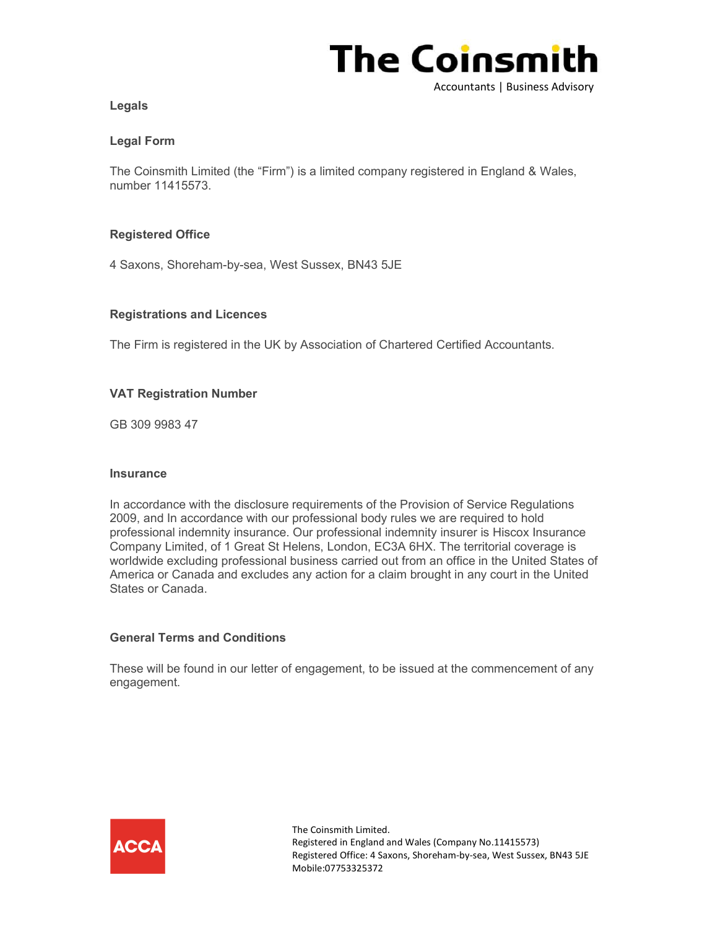

# Legals

## Legal Form

The Coinsmith Limited (the "Firm") is a limited company registered in England & Wales, number 11415573.

# Registered Office

4 Saxons, Shoreham-by-sea, West Sussex, BN43 5JE

#### Registrations and Licences

The Firm is registered in the UK by Association of Chartered Certified Accountants.

#### VAT Registration Number

GB 309 9983 47

#### **Insurance**

In accordance with the disclosure requirements of the Provision of Service Regulations 2009, and In accordance with our professional body rules we are required to hold professional indemnity insurance. Our professional indemnity insurer is Hiscox Insurance Company Limited, of 1 Great St Helens, London, EC3A 6HX. The territorial coverage is worldwide excluding professional business carried out from an office in the United States of America or Canada and excludes any action for a claim brought in any court in the United States or Canada.

#### General Terms and Conditions

These will be found in our letter of engagement, to be issued at the commencement of any engagement.



The Coinsmith Limited. Registered in England and Wales (Company No.11415573) Registered Office: 4 Saxons, Shoreham-by-sea, West Sussex, BN43 5JE Mobile:07753325372